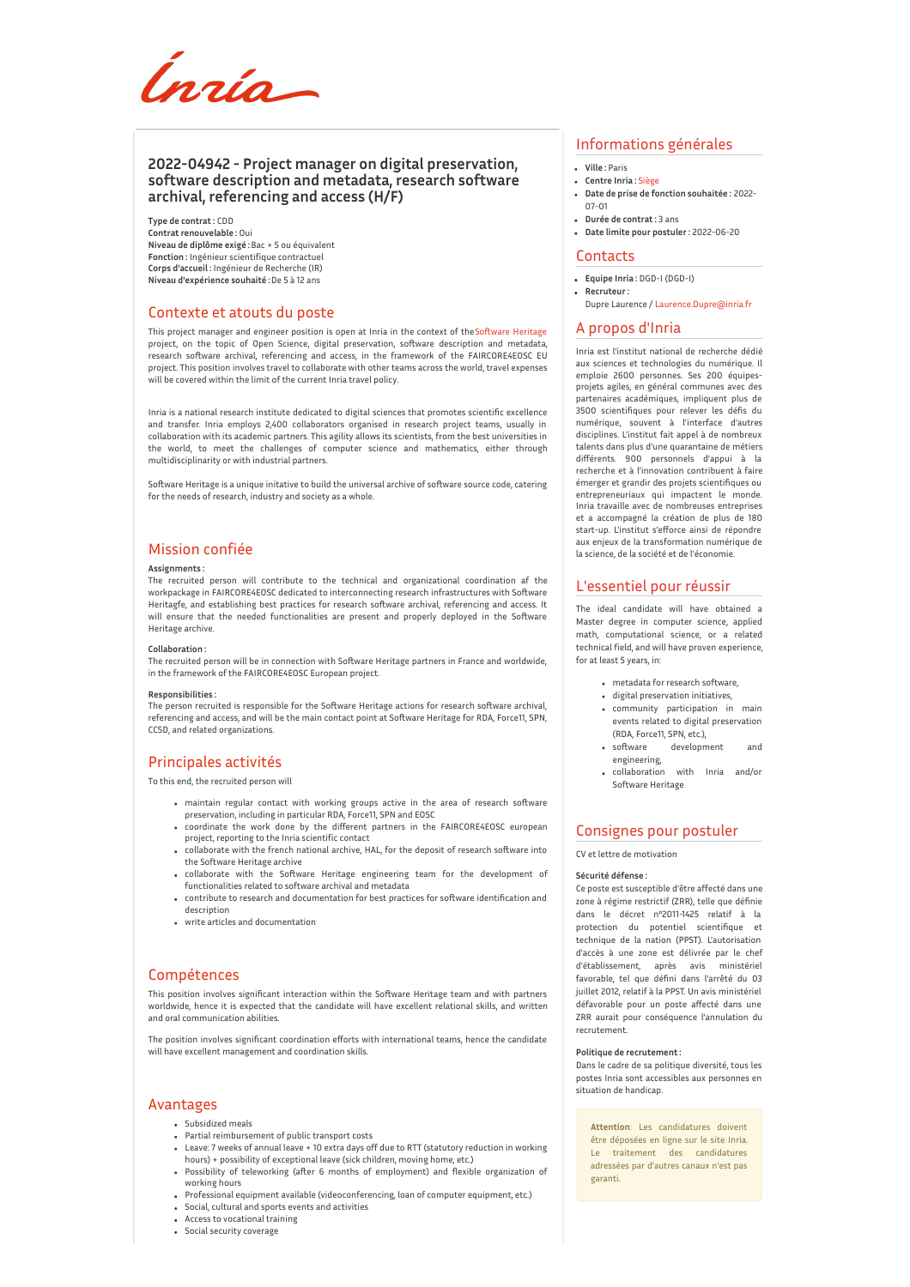

## **2022-04942 - Project manager on digital preservation, software description and metadata, research software archival, referencing and access (H/F)**

**Type de contrat :** CDD **Contrat renouvelable :** Oui **Niveau de diplôme exigé :**Bac + 5 ou équivalent **Fonction :** Ingénieur scientifique contractuel **Corps d'accueil :** Ingénieur de Recherche (IR) **Niveau d'expérience souhaité :**De 5 à 12 ans

### Contexte et atouts du poste

This project manager and engineer position is open at Inria in the context of the Software Heritage project manager and engineer position is open at mind in the context of these remains remains of the topic of Open Science, digital preservation, software description and metadata, research software archival, referencing and access, in the framework of the FAIRCORE4EOSC EU project. This position involves travel to collaborate with other teams across the world, travel expenses will be covered within the limit of the current Inria travel policy.

Inria is a national research institute dedicated to digital sciences that promotes scientific excellence and transfer. Inria employs 2,400 collaborators organised in research project teams, usually in collaboration with its academic partners. This agility allows its scientists, from the best universities in the world, to meet the challenges of computer science and mathematics, either through multidisciplinarity or with industrial partners.

Software Heritage is a unique initative to build the universal archive of software source code, catering for the needs of research, industry and society as a whole.

# Mission confiée

#### **Assignments :**

The recruited person will contribute to the technical and organizational coordination af the workpackage in FAIRCORE4EOSC dedicated to interconnecting research infrastructures with Software Heritagfe, and establishing best practices for research software archival, referencing and access. It will ensure that the needed functionalities are present and properly deployed in the Software Heritage archive.

#### **Collaboration :**

The recruited person will be in connection with Software Heritage partners in France and worldwide, in the framework of the FAIRCORE4EOSC European project.

#### **Responsibilities :**

The person recruited is responsible for the Software Heritage actions for research software archival, referencing and access, and will be the main contact point at Software Heritage for RDA, Force11, SPN, CCSD, and related organizations.

# Principales activités

To this end, the recruited person will

- maintain regular contact with working groups active in the area of research software preservation, including in particular RDA, Force11, SPN and EOSC
- coordinate the work done by the different partners in the FAIRCORE4EOSC european project, reporting to the Inria scientific contact
- collaborate with the french national archive, HAL, for the deposit of research software into the Software Heritage archive
- . collaborate with the Software Heritage engineering team for the development of functionalities related to software archival and metadata
- contribute to research and documentation for best practices for so'ware identification and description
- write articles and documentation

## Compétences

This position involves significant interaction within the Software Heritage team and with partners worldwide, hence it is expected that the candidate will have excellent relational skills, and written and oral communication abilities.

The position involves significant coordination efforts with international teams, hence the candidate will have excellent management and coordination skills.

### Avantages

- Subsidized meals
- Partial reimbursement of public transport costs
- Leave: 7 weeks of annual leave + 10 extra days off due to RTT (statutory reduction in working hours) + possibility of exceptional leave (sick children, moving home, etc.)
- Possibility of teleworking (after 6 months of employment) and flexible organization of working hours
- Professional equipment available (videoconferencing, loan of computer equipment, etc.) Social, cultural and sports events and activities
- Access to vocational training
- Social security coverage
- 

## Informations générales

- **Ville :** Paris
- **Centre Inria :** [Siège](http://www.inria.fr/centre/siege)
- **Date de prise de fonction souhaitée :** 2022- 07-01
- **Durée de contrat :** 3 ans **Date limite pour postuler :** 2022-06-20

### **Contacts**

- **Equipe Inria :** DGD-I (DGD-I)
- **Recruteur :** Dupre Laurence / [Laurence.Dupre@inria.fr](mailto:Laurence.Dupre@inria.fr)

#### A propos d'Inria

Inria est l'institut national de recherche dédié aux sciences et technologies du numérique. Il emploie 2600 personnes. Ses 200 équipesprojets agiles, en général communes avec des partenaires académiques, impliquent plus de 3500 scientifiques pour relever les défis du numérique, souvent à l'interface d'autres disciplines. L'institut fait appel à de nombreux talents dans plus d'une quarantaine de métiers différents. 900 personnels d'appui à la recherche et à l'innovation contribuent à faire émerger et grandir des projets scientifiques ou entrepreneuriaux qui impactent le monde. Inria travaille avec de nombreuses entreprises et a accompagné la création de plus de 180 start-up. L'institut s'efforce ainsi de répondre aux enjeux de la transformation numérique de la science, de la société et de l'économie.

### L'essentiel pour réussir

The ideal candidate will have obtained a Master degree in computer science, applied math, computational science, or a related technical field, and will have proven experience, for at least 5 years, in:

- metadata for research software,
- digital preservation initiatives,
- community participation in main events related to digital preservation
- (RDA, Force11, SPN, etc.), development engineering,
- collaboration with Inria and/or Software Heritage

### Consignes pour postuler

CV et lettre de motivation

### **Sécurité défense :**

Ce poste est susceptible d'être affecté dans une zone à régime restrictif (ZRR), telle que définie dans le décret n°2011-1425 relatif à la protection du potentiel scientifique et technique de la nation (PPST). L'autorisation d'accès à une zone est délivrée par le chef d'établissement, après avis ministériel favorable, tel que défini dans l'arrêté du 03 juillet 2012, relatif à la PPST. Un avis ministériel défavorable pour un poste affecté dans une ZRR aurait pour conséquence l'annulation du recrutement.

#### **Politique de recrutement :**

Dans le cadre de sa politique diversité, tous les postes Inria sont accessibles aux personnes en situation de handicap.

**Attention**: Les candidatures doivent être déposées en ligne sur le site Inria. Le traitement des candidatures adressées par d'autres canaux n'est pas garanti.